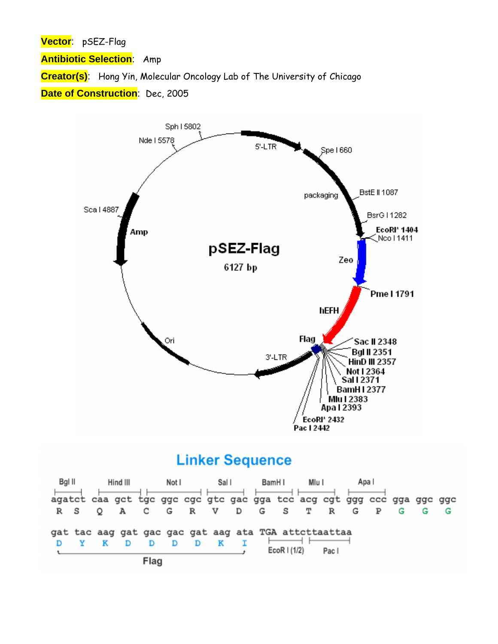**Vector**: pSEZ-Flag

**Antibiotic Selection**: Amp

**Creator(s)**: Hong Yin, Molecular Oncology Lab of The University of Chicago

**Date of Construction**: Dec, 2005



## **Linker Sequence**

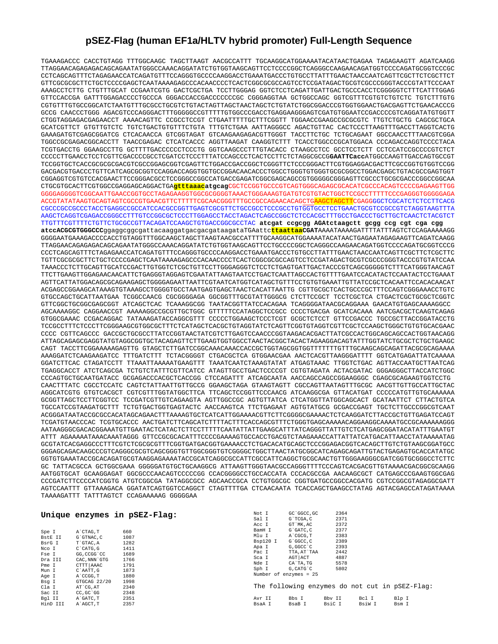## **pSEZ-Flag (human EF1a/HLTV hybrid promoter) Full-Length Sequence**

TGAAAGACCC CACCTGTAGG TTTGGCAAGC TAGCTTAAGT AACGCCATTT TGCAAGGCATGGAAAATACATAACTGAGAA TAGAGAAGTT AGATCAAGG TTAGGAACAGAGAGACAGCAGAATATGGGCCAAACAGGATATCTGTGGTAAGCAGTTCCTCCCCGGCTCAGGGCCAAGAACAGATGGTCCCCAGATGCGGTCCCGC CCTCAGCAGTTTCTAGAGAACCATCAGATGTTTCCAGGGTGCCCCAAGGACCTGAAATGACCCTGTGCCTTATTTGAACTAACCAATCAGTTCGCTTCTCGCTTCT GTTCGCGCGCTTCTGCTCCCCGAGCTCAATAAAAGAGCCCACAACCCCTCACTCGGCGCGCCAGTCCTCCGATAGACTGCGTCGCCCGGGTACCCGTATTCCCAAT AAAGCCTCTTG CTGTTTGCAT CCGAATCGTG GACTCGCTGA TCCTTGGGAG GGTCTCCTCAGATTGATTGACTGCCCACCTCGGGGGTCTTTCATTTGGAG GTTCCACCGA GATTTGGAGACCCCTGCCCA GGGACCACCGACCCCCCCGC CGGGAGGTAA GCTGGCCAGC GGTCGTTTCGTGTCTGTCTC TGTCTTTGTG CGTGTTTGTGCCGGCATCTAATGTTTGCGCCTGCGTCTGTACTAGTTAGCTAACTAGCTCTGTATCTGGCGGACCCGTGGTGGAACTGACGAGTTCTGAACACCCG GCCG CAACCCTGGG AGACGTCCCAGGGACTTTGGGGGCCGTTTTTGTGGCCCGACCTGAGGAAGGGAGTCGATGTGGAATCCGACCCCGTCAGGATATGTGGTT CTGGTAGGAGACGAGAACCT AAAACAGTTC CCGCCTCCGT CTGAATTTTTGCTTTCGGTT TGGAACCGAAGCCGCGCGTC TTGTCTGCTG CAGCGCTGCA GCATCGTTCT GTGTTGTCTC TGTCTGACTGTGTTTCTGTA TTTGTCTGAA AATTAGGGCC AGACTGTTAC CACTCCCTTAAGTTTGACCTTAGGTCACTG GAAAGATGTCGAGCGGATCG CTCACAACCA GTCGGTAGAT GTCAAGAAGAGACGTTGGGT TACCTTCTGC TCTGCAGAAT GGCCAACCTTTAACGTCGGA TGGCCGCGAGACGGCACCTT TAACCGAGAC CTCATCACCC AGGTTAAGAT CAAGGTCTTT TCACCTGGCCCGCATGGACA CCCAGACCAGGTCCCCTACA TCGTGACCTG GGAAGCCTTG GCTTTTGACCCCCCTCCCTG GGTCAAGCCCTTTGTACACC CTAAGCCTCC GCCTCCTCTT CCTCCATCCGCCCCGTCTCT CCCCCTTGAACCTCCTCGTTCGACCCCGCCTCGATCCTCCCTTTATCCAGCCCTCACTCCTTCTCTAGGCGCCG**GAATTCacc**ATGGCCAAGTTGACCAGTGCCGT TCCGGTGCTCACCGCGCGCGACGTCGCCGGAGCGGTCGAGTTCTGGACCGACCGGCTCGGGTTCTCCCGGGACTTCGTGGAGGACGACTTCGCCGGTGTGGTCCGG GACGACGTGACCCTGTTCATCAGCGCGGTCCAGGACCAGGTGGTGCCGGACAACACCCTGGCCTGGGTGTGGGTGCGCGGCCTGGACGAGCTGTACGCCGAGTGGT CGGAGGTCGTGTCCACGAACTTCCGGGACGCCTCCGGGCCGGCCATGACCGAGATCGGCGAGCAGCCGTGGGGGCGGGAGTTCGCCCTGCGCGACCCGGCCGGCAA CTGCGTGCACTTCGTGGCCGAGGAGCAGGACTGA**gtttaaacatgcag**CGCTCCGGTGCCCGTCAGTGGGCAGAGCGCACATCGCCCACAGTCCCCGAGAAGTTGG GGGGAGGGGTCGGCAATTGAACCGGTGCCTAGAGAAGGTGGCGCGGGGTAAACTGGGAAAGTGATGTCGTGTACTGGCTCCGCCTTTTTCCCGAGGGTGGGGGAGA ACCGTATATAAGTGCAGTAGTCGCCGTGAACGTTCTTTTTCGCAACGGGTTTGCCGCCAGAACACAGCTGAAGCTAGCTTCGAGGGGCTCGCATCTCTCCTTCACG CGCCCGCCGCCCTACCTGAGGCCGCCATCCACGCCGGTTGAGTCGCGTTCTGCCGCCTCCCGCCTGTGGTGCCTCCTGAACTGCGTCCGCCGTCTAGGTAAGTTTA AAGCTCAGGTCGAGACCGGGCCTTTGTCCGGCGCTCCCTTGGAGCCTACCTAGACTCAGCCGGCTCTCCACGCTTTGCCTGACCCTGCTTGCTCAACTCTACGTCT TTGTTTCGTTTTCTGTTCTGCGCCGTTACAGATCCAAGCTGTGACCGGCGCCTAC **atcgat ccgcgg AGAtctaagctt gcgg ccg cgt cga cgg atccACGCGTGGGCCC**ggaggcggcgattacaaggatgacgacgataagataTGAattc**ttaattaaCGAT**AAAATAAAAGATTTTATTTAGTCTCCAGAAAAAGG GGGGAATGAAAGACCCCACCTGTAGGTTTGGCAAGCTAGCTTAAGTAACGCCATTTTGCAAGGCATGGAAAATACATAACTGAGAATAGAGAAGTTCAGATCAAGG TTAGGAACAGAGAGACAGCAGAATATGGGCCAAACAGGATATCTGTGGTAAGCAGTTCCTGCCCCGGCTCAGGGCCAAGAACAGATGGTCCCCAGATGCGGTCCCG CCCTCAGCAGTTTCTAGAGAACCATCAGATGTTTCCAGGGTGCCCCAAGGACCTGAAATGACCCTGTGCCTTATTTGAACTAACCAATCAGTTCGCTTCTCGCTTC TGTTCGCGCGCTTCTGCTCCCCGAGCTCAATAAAAGAGCCCACAACCCCTCACTCGGCGCGCCAGTCCTCCGATAGACTGCGTCGCCCGGGTACCCGTGTATCCAA TAAACCCTCTTGCAGTTGCATCCGACTTGTGGTCTCGCTGTTCCTTGGGAGGGTCTCCTCTGAGTGATTGACTACCCGTCAGCGGGGGTCTTTCATGGGTAACAGT TTCTTGAAGTTGGAGAACAACATTCTGAGGGTAGGAGTCGAATATTAAGTAATCCTGACTCAATTAGCCACTGTTTTGAATCCACATACTCCAATACTCCTGAAAT AGTTCATTATGGACAGCGCAGAAGAGCTGGGGAGAATTAATTCGTAATCATGGTCATAGCTGTTTCCTGTGTGAAATTGTTATCCGCTCACAATTCCACACAACAT ACGAGCCGGAAGCATAAAGTGTAAAGCCTGGGGTGCCTAATGAGTGAGCTAACTCACATTAATTG CGTTGCGCTCACTGCCCGCTTTCCAGTCGGGAAACCTGTC GTGCCAGCTGCATTAATGAA TCGGCCAACG CGCGGGGAGA GGCGGTTTGCGTATTGGGCG CTCTTCCGCT TCCTCGCTCA CTGACTCGCTGCGCTCGGTC GTTCGGCTGCGGCGAGCGGT ATCAGCTCAC TCAAAGGCGG TAATACGGTTATCCACAGAA TCAGGGGATAACGCAGGAAA GAACATGTGAGCAAAAGGCC AGCAAAAGGC CAGGAACCGT AAAAAGGCCGCGTTGCTGGC GTTTTTCCATAGGCTCCGCC CCCCTGACGA GCATCACAAA AATCGACGCTCAAGTCAGAG GTGGCGAAAC CCGACAGGAC TATAAAGATACCAGGCGTTT CCCCCTGGAAGCTCCCTCGT GCGCTCTCCT GTTCCGACCC TGCCGCTTACCGGATACCTG TCCGCCTTTCTCCCTTCGGGAAGCGTGGCGCTTTCTCATAGCTCACGCTGTAGGTATCTCAGTTCGGTGTAGGTCGTTCGCTCCAAGCTGGGCTGTGTGCACGAAC CCCC CGTTCAGCCC GACCGCTGCGCCTTATCCGGTAACTATCGTCTTGAGTCCAACCCGGTAAGACACGACTTATCGCCACTGGCAGCAGCCACTGGTAACAGG ATTAGCAGAGCGAGGTATGTAGGCGGTGCTACAGAGTTCTTGAAGTGGTGGCCTAACTACGGCTACACTAGAAGGACAGTATTTGGTATCTGCGCTCTGCTGAAGC CAGT TACCTTCGGAAAAAGAGTTG GTAGCTCTTGATCCGGCAAACAAACCACCGCTGGTAGCGGTGGTTTTTTTGTTTGCAAGCAGCAGATTACGCGCAGAAAA AAAGGATCTCAAGAAGATCC TTTGATCTTT TCTACGGGGT CTGACGCTCA GTGGAACGAA AACTCACGTTAAGGGATTTT GGTCATGAGATTATCAAAAA GGATCTTCAC CTAGATCCTT TTAAATTAAAAATGAAGTTT TAAATCAATCTAAAGTATAT ATGAGTAAAC TTGGTCTGAC AGTTACCAATGCTTAATCAG TGAGGCACCT ATCTCAGCGA TCTGTCTATTTCGTTCATCC ATAGTTGCCTGACTCCCCGT CGTGTAGATA ACTACGATAC GGGAGGGCTTACCATCTGGC CCCAGTGCTGCAATGATACC GCGAGACCCACGCTCACCGG CTCCAGATTT ATCAGCAATA AACCAGCCAGCCGGAAGGGC CGAGCGCAGAAGTGGTCCTG CAACTTTATC CGCCTCCATC CAGTCTATTAATTGTTGCCG GGAAGCTAGA GTAAGTAGTT CGCCAGTTAATAGTTTGCGC AACGTTGTTGCCATTGCTAC AGGCATCGTG GTGTCACGCT CGTCGTTTGGTATGGCTTCA TTCAGCTCCGGTTCCCAACG ATCAAGGCGA GTTACATGAT CCCCCATGTTGTGCAAAAAA GCGGTTAGCTCCTTCGGTCC TCCGATCGTTGTCAGAAGTA AGTTGGCCGC AGTGTTATCA CTCATGGTTATGGCAGCACT GCATAATTCT CTTACTGTCA TGCCATCCGTAAGATGCTTT TCTGTGACTGGTGAGTACTC AACCAAGTCA TTCTGAGAAT AGTGTATGCG GCGACCGAGT TGCTCTTGCCCGGCGTCAAT ACGGGATAATACCGCGCCACATAGCAGAACTTTAAAAGTGCTCATCATTGGAAAACGTTCTTCGGGGCGAAAACTCTCAAGGATCTTACCGCTGTTGAGATCCAGT TCGATGTAACCCAC TCGTGCACCC AACTGATCTTCAGCATCTTTTACTTTCACCAGCGTTTCTGGGTGAGCAAAAACAGGAAGGCAAAATGCCGCAAAAAAGGG AATAAGGGCGACACGGAAATGTTGAATACTCATACTCTTCCTTTTTCAATATTATTGAAGCATTTATCAGGGTTATTGTCTCATGAGCGGATACATATTTGAATGT ATTT AGAAAAATAAACAAATAGGG GTTCCGCGCACATTTCCCCGAAAAGTGCCACCTGACGTCTAAGAAACCATTATTATCATGACATTAACCTATAAAAATAG GCGTATCACGAGGCCCTTTCGTCTCGCGCGTTTCGGTGATGACGGTGAAAACCTCTGACACATGCAGCTCCCGGAGACGGTCACAGCTTGTCTGTAAGCGGATGCC GGGAGCAGACAAGCCCGTCAGGGCGCGTCAGCGGGTGTTGGCGGGTGTCGGGGCTGGCTTAACTATGCGGCATCAGAGCAGATTGTACTGAGAGTGCACCATATGC GGTGTGAAATACCGCACAGATGCGTAAGGAGAAAATACCGCATCAGGCGCCATTCGCCATTCAGGCTGCGCAACTGTTGGGAAGGGCGATCGGTGCGGGCCTCTTC GC TATTACGCCA GCTGGCGAAA GGGGGATGTGCTGCAAGGCG ATTAAGTTGGGTAACGCCAGGGTTTTCCCAGTCACGACGTTGTAAAACGACGGCGCAAGG AATGGTGCAT GCAAGGAGAT GGCGCCCAACAGTCCCCCGG CCACGGGGCCTGCCACCATA CCCACGCCGA AACAAGCGCT CATGAGCCCGAAGTGGCGAG CCCGATCTTCCCCATCGGTG ATGTCGGCGA TATAGGCGCC AGCAACCGCA CCTGTGGCGC CGGTGATGCCGGCCACGATG CGTCCGGCGTAGAGGCGATT AGTCCAATTT GTTAAAGACA GGATATCAGTGGTCCAGGCT CTAGTTTTGA CTCAACAATA TCACCAGCTGAAGCCTATAG AGTACGAGCCATAGATAAAA TAAAAGATTT TATTTAGTCT CCAGAAAAAG GGGGGAA

|          |               | Unique enzymes in pSEZ-Flag: | Not I    | GC `GGCC, GC                              | 2364   |        |       |  |
|----------|---------------|------------------------------|----------|-------------------------------------------|--------|--------|-------|--|
|          |               |                              | Sal I    | G`TCGA.C                                  | 2371   |        |       |  |
|          |               |                              | Acc I    | GT MK, AC                                 | 2372   |        |       |  |
| Spe I    | A`CTAG, T     | 660                          | BamH I   | G`GATC, C                                 | 2377   |        |       |  |
| BstE II  | G`GTNAC, C    | 1087                         | Mlu I    | A CGCG, T                                 | 2383   |        |       |  |
| BsrG I   | T`GTAC, A     | 1282                         | Bsp120 I | G`GGCC, C                                 | 2389   |        |       |  |
| Nco I    | C CATG, G     | 1411                         | Apa I    | G, GGCC C                                 | 2393   |        |       |  |
| Fse I    | GG, CCGG 'CC  | 1689                         | Pac I    | TTA, AT`TAA                               | 2442   |        |       |  |
| Dra III  | CAC, NNN `GTG | 1766                         | Sca I    | AGT ACT                                   | 4887   |        |       |  |
| Pme I    | CTTT AAAC     | 1791                         | Nde I    | CA`TA, TG                                 | 5578   |        |       |  |
| Mun I    | C`AATT.G      | 1873                         | Sph I    | G.CATG'C                                  | 5802   |        |       |  |
| Age I    | A CCGG, T     | 1880                         |          | Number of enzymes = 25                    |        |        |       |  |
| Bsq I    | GTGCAG 22/20  | 1998                         |          |                                           |        |        |       |  |
| Cla I    | AT CG, AT     | 2340                         |          | The following enzymes do not cut in pSEZ- |        |        |       |  |
| Sac II   | CC.GC GG      | 2348                         |          |                                           |        |        |       |  |
| Bgl II   | A GATC, T     | 2351                         | Avr II   | Bbs I                                     | Bby II | Bcl I  | Blp I |  |
| HinD III | A`AGCT, T     | 2357                         | BsaA I   | BsaB I                                    | BsiC I | BsiW I | Bsm I |  |
|          |               |                              |          |                                           |        |        |       |  |

in pSEZ-Flag: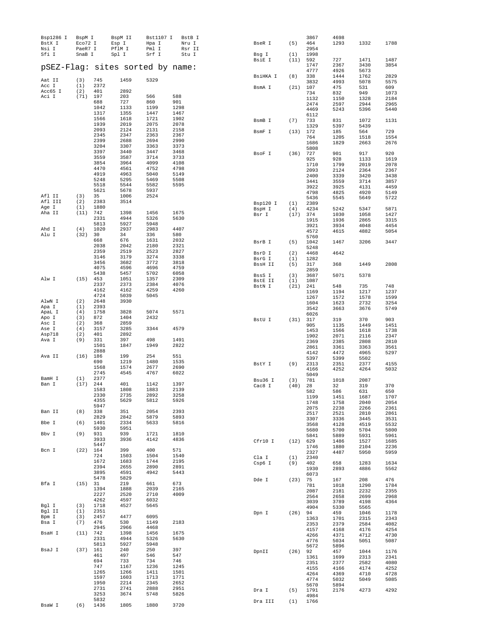| Bsp1286 I<br>BstX I<br>Nsi I<br>Sfi I | BspM I<br>Eco72 I<br>PaeR7 I<br>SnaB I |              | BspM II<br>Esp I<br>PflM I<br>Spl I | Bst1107 I<br>Hpa I<br>Pml I<br>Srf I | BstB I<br>Nru I<br>Rsr II<br>Stu I | BseR I<br>Bsg I   | (5)<br>(1) | 3867<br>464<br>2954<br>1998 | 4698<br>1293 | 1332         | 1788         |
|---------------------------------------|----------------------------------------|--------------|-------------------------------------|--------------------------------------|------------------------------------|-------------------|------------|-----------------------------|--------------|--------------|--------------|
| pSEZ-Flag: sites sorted by name:      |                                        |              |                                     |                                      |                                    | BsiE I            | (11)       | 592<br>1747                 | 727<br>2367  | 1471<br>3430 | 1487<br>3854 |
| Aat II                                | (3)                                    | 745          | 1459                                | 5329                                 |                                    | BsiHKA I          | (8)        | 4777<br>338                 | 4926<br>1444 | 5673<br>1762 | 2829         |
| Acc I                                 | (1)                                    | 2372         |                                     |                                      |                                    | BsmA I            | (21)       | 3832<br>107                 | 4993<br>475  | 5078<br>531  | 5575<br>609  |
| Acc65 I                               | (2)                                    | 401          | 2892                                |                                      |                                    |                   |            | 734                         | 832          | 949          | 1073         |
| Aci I                                 | (71)                                   | 197<br>688   | 203<br>727                          | 566<br>860                           | 588<br>901                         |                   |            | 1132                        | 1150         | 1328         | 2184         |
|                                       |                                        | 1042         | 1133                                | 1199                                 | 1298                               |                   |            | 2474<br>4469                | 2597<br>5243 | 2944<br>5396 | 2965<br>5440 |
|                                       |                                        | 1317         | 1355                                | 1447                                 | 1467                               |                   |            | 6112                        |              |              |              |
|                                       |                                        | 1566<br>1939 | 1618<br>2019                        | 1721<br>2075                         | 1902<br>2078                       | BsmB I            | (7)        | 733<br>1329                 | 831<br>5397  | 1072<br>5439 | 1131         |
|                                       |                                        | 2093         | 2124                                | 2131                                 | 2158                               | BsmF I            | (13)       | 172                         | 185          | 564          | 729          |
|                                       |                                        | 2345<br>2399 | 2347<br>2688                        | 2363<br>2694                         | 2367<br>2990                       |                   |            | 764                         | 1205         | 1518         | 1554         |
|                                       |                                        | 3204         | 3307                                | 3363                                 | 3373                               |                   |            | 1686<br>5808                | 1829         | 2663         | 2676         |
|                                       |                                        | 3397         | 3440                                | 3447                                 | 3468                               | BsoF I            | (36)       | 727                         | 901          | 917          | 920          |
|                                       |                                        | 3559<br>3854 | 3587<br>3964                        | 3714<br>4099                         | 3733<br>4108                       |                   |            | 925<br>1710                 | 928<br>1799  | 1133<br>2019 | 1619<br>2078 |
|                                       |                                        | 4470         | 4561                                | 4752                                 | 4798                               |                   |            | 2093                        | 2124         | 2364         | 2367         |
|                                       |                                        | 4919<br>5248 | 4963<br>5295                        | 5040<br>5469                         | 5149<br>5508                       |                   |            | 2400                        | 3339         | 3420         | 3438         |
|                                       |                                        | 5518         | 5544                                | 5582                                 | 5595                               |                   |            | 3441<br>3922                | 3559<br>3925 | 3714<br>4131 | 3857<br>4459 |
| Afl II                                | (3)                                    | 5621<br>35   | 5678<br>1006                        | 5937<br>2524                         |                                    |                   |            | 4798                        | 4825         | 4920         | 5149         |
| Afl III                               | (2)                                    | 2383         | 3514                                |                                      |                                    | Bsp120 I          | (1)        | 5436<br>2389                | 5545         | 5649         | 5722         |
| Age I                                 | (1)                                    | 1880         |                                     |                                      |                                    | BspH I            | (4)        | 4234                        | 5242         | 5347         | 5871         |
| Aha II                                | (11)                                   | 742<br>2331  | 1398<br>4944                        | 1456<br>5326                         | 1675<br>5630                       | Bsr I             | (17)       | 374                         | 1030         | 1058         | 1427         |
|                                       |                                        | 5813         | 5927                                | 5948                                 |                                    |                   |            | 1915<br>3921                | 1936<br>3934 | 2865<br>4048 | 3315<br>4454 |
| Ahd I<br>Alu I                        | (4)<br>(32)                            | 1020<br>30   | 2937<br>34                          | 2983<br>336                          | 4407<br>580                        |                   |            | 4572                        | 4615         | 4882         | 5054         |
|                                       |                                        | 668          | 676                                 | 1631                                 | 2032                               | BsrB I            | (5)        | 5760<br>1042                | 1467         | 3206         | 3447         |
|                                       |                                        | 2038         | 2042                                | 2180                                 | 2321                               |                   |            | 5248                        |              |              |              |
|                                       |                                        | 2359<br>3146 | 2519<br>3179                        | 2523<br>3274                         | 2827<br>3338                       | BsrD I<br>BsrG I  | (2)<br>(1) | 4468<br>1282                | 4642         |              |              |
|                                       |                                        | 3456         | 3682                                | 3772                                 | 3818                               | BssH II           | (5)        | 317                         | 368          | 1449         | 2808         |
|                                       |                                        | 4075<br>5438 | 4596<br>5457                        | 4696<br>5702                         | 4759<br>6058                       |                   |            | 2859                        |              |              |              |
| Alw I                                 | $(15)$ 453                             |              | 1051                                | 1357                                 | 2309                               | BssS I<br>BstE II | (3)<br>(1) | 3687<br>1087                | 5071         | 5378         |              |
|                                       |                                        | 2337<br>4162 | 2373<br>4162                        | 2384<br>4259                         | 4076<br>4260                       | BstN I            | (21)       | 241                         | 548          | 735          | 748          |
|                                       |                                        | 4724         | 5039                                | 5045                                 |                                    |                   |            | 1169<br>1267                | 1194<br>1572 | 1217<br>1578 | 1237<br>1599 |
| AlwN I                                | (2)                                    | 2648         | 3930                                |                                      |                                    |                   |            | 1604                        | 1623         | 2732         | 3254         |
| Apa I<br>ApaL I                       | (1)<br>(4)                             | 2393<br>1758 | 3828                                | 5074                                 | 5571                               |                   |            | 3542<br>6026                | 3663         | 3676         | 5749         |
| Apo I                                 | (3)                                    | 872          | 1404                                | 2432                                 |                                    | BstU I            | (31)       | 317                         | 319          | 370          | 903          |
| Asc I<br>Ase I                        | (2)<br>(4)                             | 368<br>3157  | 2859<br>3285                        | 3344                                 | 4579                               |                   |            | 905                         | 1135         | 1449         | 1451         |
| Asp718                                | (2)                                    | 401          | 2892                                |                                      |                                    |                   |            | 1453<br>1902                | 1566<br>2071 | 1618<br>2116 | 1738<br>2347 |
| Ava I                                 | (9)                                    | 331<br>1501  | 397<br>1847                         | 498<br>1949                          | 1491<br>2822                       |                   |            | 2369                        | 2385         | 2808         | 2810         |
|                                       |                                        | 2888         |                                     |                                      |                                    |                   |            | 2861<br>4142                | 3361<br>4472 | 3363<br>4965 | 3561<br>5297 |
| Ava II                                | (16)                                   | 186          | 199                                 | 254                                  | 551                                |                   |            | 5397                        | 5399         | 5502         |              |
|                                       |                                        | 690<br>1568  | 1219<br>1574                        | 1480<br>2677                         | 1535<br>2690                       | BstY I            | (9)        | 2313<br>4166                | 2351<br>4252 | 2377<br>4264 | 4155<br>5032 |
|                                       |                                        | 2745         | 4545                                | 4767                                 | 6022                               |                   |            | 5049                        |              |              |              |
| BamH I<br>Ban I                       | (1)<br>(17)                            | 2377<br>244  | 401                                 | 1142                                 | 1397                               | Bsu36 I           | (3)        | 781                         | 1018         | 2087         |              |
|                                       |                                        | 1583         | 1808                                | 1883                                 | 2139                               | Cac8 I            | (40)       | 28<br>582                   | 32<br>586    | 319<br>631   | 370<br>650   |
|                                       |                                        | 2330<br>4355 | 2735<br>5629                        | 2892<br>5812                         | 3258<br>5926                       |                   |            | 1199                        | 1451         | 1687         | 1707         |
|                                       |                                        | 5947         |                                     |                                      |                                    |                   |            | 1748<br>2075                | 1758<br>2238 | 2040<br>2266 | 2054<br>2361 |
| Ban II                                | (8)                                    | 338          | 351                                 | 2054                                 | 2393                               |                   |            | 2517                        | 2521         | 2810         | 2861         |
| Bbe I                                 | (6)                                    | 2829<br>1401 | 2842<br>2334                        | 5879<br>5633                         | 5893<br>5816                       |                   |            | 3307<br>3568                | 3336<br>4128 | 3445<br>4519 | 3531<br>5532 |
|                                       |                                        | 5930         | 5951                                |                                      |                                    |                   |            | 5680                        | 5700         | 5704         | 5800         |
| Bbv I                                 | (9)                                    | 931<br>3933  | 939<br>3936                         | 1721<br>4142                         | 1810<br>4836                       |                   |            | 5841                        | 5889         | 5931         | 5961         |
|                                       |                                        | 5447         |                                     |                                      |                                    | Cfr10 I           | (12) 629   | 1746                        | 1486<br>1880 | 1527<br>2104 | 1685<br>2236 |
| Bcn I                                 | $(22)$ 164                             | 724          | 399<br>1503                         | 400<br>1504                          | 571<br>1540                        |                   |            | 2327                        | 4487         | 5950         | 5959         |
|                                       |                                        | 1672         | 1683                                | 1744                                 | 2195                               | Cla I<br>Csp6 I   | (1)<br>(9) | 2340<br>402                 | 658          | 1283         | 1634         |
|                                       |                                        | 2394         | 2655                                | 2890                                 | 2891                               |                   |            | 1930                        | 2893         | 4886         | 5562         |
|                                       |                                        | 3895<br>5478 | 4591<br>5829                        | 4942                                 | 5443                               | Dde I             | (23)       | 6073<br>75                  | 167          | 208          | 476          |
| Bfa I                                 | (15) 31                                |              | 219                                 | 661                                  | 673                                |                   |            | 781                         | 1018         | 1290         | 1784         |
|                                       |                                        | 1394<br>2227 | 1888<br>2520                        | 2039<br>2710                         | 2165<br>4009                       |                   |            | 2087                        | 2181         | 2232         | 2355         |
|                                       |                                        | 4262         | 4597                                | 6032                                 |                                    |                   |            | 2564<br>3039                | 2658<br>3789 | 2699<br>4198 | 2968<br>4364 |
| Bgl I<br>Bgl II                       | (3)<br>(1)                             | 1718<br>2351 | 4527                                | 5645                                 |                                    |                   |            | 4904                        | 5330         | 5565         |              |
| Bpm I                                 | (3)                                    | 2457         | 4477                                | 6095                                 |                                    | Dpn I             | (26)       | 94<br>1363                  | 459<br>1701  | 1046<br>2315 | 1178<br>2343 |
| Bsa I                                 | (7)                                    | 476          | 530                                 | 1149                                 | 2183                               |                   |            | 2353                        | 2379         | 2584         | 4082         |
| BsaH I                                | $(11)$ 742                             | 2945         | 2966<br>1398                        | 4468<br>1456                         | 1675                               |                   |            | 4157                        | 4168<br>4371 | 4176<br>4712 | 4254         |
|                                       |                                        | 2331         | 4944                                | 5326                                 | 5630                               |                   |            | 4266<br>4776                | 5034         | 5051         | 4730<br>5087 |
| BsaJ I                                | (37) 161                               | 5813         | 5927<br>240                         | 5948<br>250                          | 397                                |                   |            | 5672                        | 5896         |              |              |
|                                       |                                        | 461          | 497                                 | 546                                  | 547                                | DpnII             | (26)       | 92<br>1361                  | 457<br>1699  | 1044<br>2313 | 1176<br>2341 |
|                                       |                                        | 694          | 733                                 | 734                                  | 746                                |                   |            | 2351                        | 2377         | 2582         | 4080         |
|                                       |                                        | 747<br>1265  | 1167<br>1266                        | 1236<br>1411                         | 1245<br>1501                       |                   |            | 4155                        | 4166         | 4174         | 4252         |
|                                       |                                        | 1597         | 1603                                | 1713                                 | 1771                               |                   |            | 4264<br>4774                | 4369<br>5032 | 4710<br>5049 | 4728<br>5085 |
|                                       |                                        | 1950<br>2731 | 2214<br>2741                        | 2345<br>2888                         | 2652<br>2951                       |                   |            | 5670                        | 5894         |              |              |
|                                       |                                        | 3253         | 3674                                | 5748                                 | 5826                               | Dra I             | (5)        | 1791<br>4984                | 2176         | 4273         | 4292         |
| BsaW I                                | (6)                                    | 5832<br>1436 | 1805                                | 1880                                 | 3720                               | Dra III           | (1)        | 1766                        |              |              |              |
|                                       |                                        |              |                                     |                                      |                                    |                   |            |                             |              |              |              |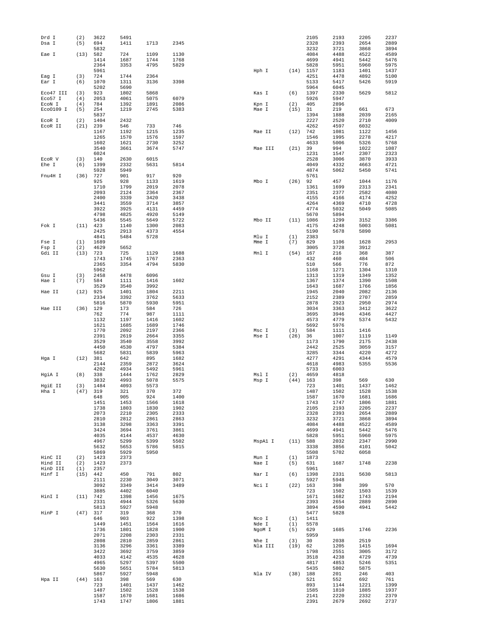| Drd I               | (2)        | 3622         | 5491         |              |              |                  |             | 2105         | 2193         | 2205         | 2237         |
|---------------------|------------|--------------|--------------|--------------|--------------|------------------|-------------|--------------|--------------|--------------|--------------|
| Dsa I               | (5)        | 694          | 1411         | 1713         | 2345         |                  |             | 2328         | 2393         | 2654         | 2889         |
| Eae I               | (13)       | 5832<br>582  | 724          | 1109         | 1130         |                  |             | 3232<br>4084 | 3721<br>4488 | 3868<br>4522 | 3894<br>4589 |
|                     |            | 1414         | 1687         | 1744         | 1768         |                  |             | 4699         | 4941         | 5442         | 5476         |
|                     |            | 2364         | 3353         | 4795         | 5829         |                  |             | 5828         | 5951         | 5960         | 5975         |
|                     |            | 5961         |              |              |              | Hph I            |             | $(14)$ 1157  | 1183         | 1401         | 1437         |
| Eag I               | (3)        | 724          | 1744         | 2364         |              |                  |             | 4251         | 4478         | 4892         | 5100         |
| Ear I               | (6)        | 1070         | 1311         | 3136         | 3398         |                  |             | 5133         | 5417         | 5426         | 5919         |
| Eco47 III           | (3)        | 5202<br>923  | 5690<br>1802 | 5868         |              | Kas I            | (6)         | 5964<br>1397 | 6045<br>2330 | 5629         | 5812         |
| Eco57 I             | (4)        | 2053         | 4061         | 5075         | 6079         |                  |             | 5926         | 5947         |              |              |
| ECON I              | (4)        | 784          | 1392         | 1891         | 2086         | Kpn I            | (2)         | 405          | 2896         |              |              |
| Eco0109 I           | (5)        | 254          | 1219         | 2745         | 5383         | Mae I            | (15)        | 31           | 219          | 661          | 673          |
|                     |            | 5837         |              |              |              |                  |             | 1394         | 1888         | 2039         | 2165         |
| ECOR I              | (2)        | 1404         | 2432         |              |              |                  |             | 2227         | 2520         | 2710         | 4009         |
| ECOR II             | (21)       | 239<br>1167  | 546<br>1192  | 733<br>1215  | 746<br>1235  | Mae II           | (12)        | 4262<br>742  | 4597<br>1081 | 6032<br>1122 | 1456         |
|                     |            | 1265         | 1570         | 1576         | 1597         |                  |             | 1546         | 1995         | 2278         | 4217         |
|                     |            | 1602         | 1621         | 2730         | 3252         |                  |             | 4633         | 5006         | 5326         | 5768         |
|                     |            | 3540         | 3661         | 3674         | 5747         | Mae III          | (21)        | 39           | 994          | 1022         | 1087         |
|                     |            | 6024         |              |              |              |                  |             | 1231         | 1547         | 2307         | 2323         |
| ECOR V              | (3)        | 140          | 2630         | 6015         |              |                  |             | 2528         | 3006         | 3870         | 3933         |
| Ehe I               | (6)        | 1399         | 2332         | 5631         | 5814         |                  |             | 4049         | 4332         | 4663         | 4721         |
| Fnu4H I             | (36)       | 5928<br>727  | 5949<br>901  | 917          | 920          |                  |             | 4874<br>5761 | 5062         | 5450         | 5741         |
|                     |            | 925          | 928          | 1133         | 1619         | Mbo I            | (26)        | 92           | 457          | 1044         | 1176         |
|                     |            | 1710         | 1799         | 2019         | 2078         |                  |             | 1361         | 1699         | 2313         | 2341         |
|                     |            | 2093         | 2124         | 2364         | 2367         |                  |             | 2351         | 2377         | 2582         | 4080         |
|                     |            | 2400         | 3339         | 3420         | 3438         |                  |             | 4155         | 4166         | 4174         | 4252         |
|                     |            | 3441         | 3559         | 3714         | 3857         |                  |             | 4264         | 4369         | 4710         | 4728         |
|                     |            | 3922<br>4798 | 3925         | 4131<br>4920 | 4459<br>5149 |                  |             | 4774<br>5670 | 5032<br>5894 | 5049         | 5085         |
|                     |            | 5436         | 4825<br>5545 | 5649         | 5722         | Mbo II           | (11)        | 1086         | 1299         | 3152         | 3386         |
| Fok I               | (11)       | 423          | 1140         | 1300         | 2083         |                  |             | 4175         | 4248         | 5003         | 5081         |
|                     |            | 2425         | 2913         | 4373         | 4554         |                  |             | 5190         | 5678         | 5890         |              |
|                     |            | 4841         | 5484         | 5728         |              | Mlu I            | (1)         | 2383         |              |              |              |
| Fse I               | (1)        | 1689         |              |              |              | Mme I            | (7)         | 829          | 1106         | 1628         | 2953         |
| Fsp I               | (2)        | 4629         | 5652         |              |              |                  |             | 3005         | 3728         | 3912         |              |
| Gdi II              | (13)       | 723          | 725          | 1129<br>1767 | 1688         | Mnl I            | (54)        | 167<br>432   | 216          | 368          | 387<br>506   |
|                     |            | 1743<br>2365 | 1745<br>3354 | 4794         | 2363<br>5830 |                  |             | 510          | 460<br>566   | 484<br>776   | 872          |
|                     |            | 5962         |              |              |              |                  |             | 1168         | 1271         | 1304         | 1310         |
| Gsu I               | (3)        | 2458         | 4478         | 6096         |              |                  |             | 1313         | 1319         | 1349         | 1352         |
| Hae I               | (7)        | 584          | 1111         | 1416         | 1602         |                  |             | 1367         | 1374         | 1390         | 1508         |
|                     |            | 3529         | 3540         | 3992         |              |                  |             | 1643         | 1687         | 1766         | 1856         |
| Hae II              | (12)       | 925          | 1401         | 1804         | 2211         |                  |             | 1945         | 2040         | 2082         | 2136         |
|                     |            | 2334<br>5816 | 3392<br>5870 | 3762<br>5930 | 5633<br>5951 |                  |             | 2152<br>2878 | 2389<br>2923 | 2707<br>2950 | 2859<br>2974 |
| Hae III             | (36)       | 129          | 173          | 584          | 726          |                  |             | 3034         | 3363         | 3412         | 3622         |
|                     |            | 762          | 774          | 987          | 1111         |                  |             | 3695         | 3946         | 4346         | 4427         |
|                     |            | 1132         | 1197         | 1416         | 1602         |                  |             | 4573         | 4779         | 5374         | 5432         |
|                     |            | 1621         | 1685         | 1689         | 1746         |                  |             | 5692         | 5976         |              |              |
|                     |            | 1770         | 2092         | 2197         | 2366         | Msc I            | (3)         | 584          | 1111         | 1416         |              |
|                     |            | 2391         | 2619         | 2664         | 3355         | Mse I            | (26)        | 36           | 1007         | 1119         | 1149         |
|                     |            | 3529<br>4450 | 3540<br>4530 | 3558<br>4797 | 3992<br>5384 |                  |             | 1173<br>2442 | 1790<br>2525 | 2175<br>3059 | 2438<br>3157 |
|                     |            | 5682         | 5831         | 5839         | 5963         |                  |             | 3285         | 3344         | 4220         | 4272         |
| Hga I               | (12)       | 381          | 642          | 895          | 1682         |                  |             | 4277         | 4291         | 4344         | 4579         |
|                     |            | 2144         | 2359         | 2872         | 3624         |                  |             | 4618         | 4983         | 5355         | 5536         |
|                     |            | 4202         | 4934         | 5492         | 5961         |                  |             | 5733         | 6003         |              |              |
| HgiA I              | (8)        | 338          | 1444         | 1762         | 2829         | Msl I            | (2)         | 4659         | 4818         |              |              |
|                     | (3)        | 3832<br>1484 | 4993<br>4093 | 5078<br>5573 | 5575         | Msp I            | (44)        | 163<br>723   | 398          | 569<br>1437  | 630<br>1462  |
| HgiE II<br>Hha I    | (47)       | 319          | 321          | 370          | 372          |                  |             | 1487         | 1401<br>1502 | 1528         | 1538         |
|                     |            | 648          | 905          | 924          | 1400         |                  |             | 1587         | 1670         | 1681         | 1686         |
|                     |            | 1451         | 1453         | 1566         | 1618         |                  |             | 1743         | 1747         | 1806         | 1881         |
|                     |            | 1738         | 1803         | 1830         | 1902         |                  |             | 2105         | 2193         | 2205         | 2237         |
|                     |            | 2073         | 2210         | 2305         | 2333         |                  |             | 2328         | 2393         | 2654         | 2889         |
|                     |            | 2810<br>3138 | 2812<br>3298 | 2861<br>3363 | 2863<br>3391 |                  |             | 3232<br>4084 | 3721<br>4488 | 3868<br>4522 | 3894<br>4589 |
|                     |            | 3424         | 3694         | 3761         | 3861         |                  |             | 4699         | 4941         | 5442         | 5476         |
|                     |            | 4035         | 4144         | 4537         | 4630         |                  |             | 5828         | 5951         | 5960         | 5975         |
|                     |            | 4967         | 5299         | 5399         | 5502         | MspA1 I          | (11)        | 588          | 2032         | 2347         | 2990         |
|                     |            | 5632         | 5653         | 5786         | 5815         |                  |             | 3338         | 3856         | 4101         | 5042         |
| HinC II             |            | 5869         | 5929         | 5950         |              | Mun I            |             | 5508<br>1873 | 5702         | 6058         |              |
|                     | (2)        | 1423<br>1423 | 2373         |              |              |                  | (1)         |              |              |              |              |
| Hind II<br>HinD III | (2)<br>(1) | 2357         | 2373         |              |              | Nae I            | (5)         | 631<br>5961  | 1687         | 1748         | 2238         |
| Hinf I              | (15)       | 442          | 450          | 791          | 802          | Nar I            | (6)         | 1398         | 2331         | 5630         | 5813         |
|                     |            | 2111         | 2230         | 3049         | 3071         |                  |             | 5927         | 5948         |              |              |
|                     |            | 3092         | 3349         | 3414         | 3489         | Nci I            | (22)        | 163          | 398          | 399          | 570          |
|                     |            | 3885         | 4402         | 6040         |              |                  |             | 723          | 1502         | 1503         | 1539         |
| HinI I              | (11) 742   |              | 1398         | 1456         | 1675         |                  |             | 1671         | 1682         | 1743         | 2194         |
|                     |            | 2331<br>5813 | 4944<br>5927 | 5326<br>5948 | 5630         |                  |             | 2393<br>3894 | 2654<br>4590 | 2889<br>4941 | 2890<br>5442 |
| HinP I              | (47)       | 317          | 319          | 368          | 370          |                  |             | 5477         | 5828         |              |              |
|                     |            | 646          | 903          | 922          | 1398         | Nco I            | (1)         | 1411         |              |              |              |
|                     |            | 1449         | 1451         | 1564         | 1616         | Nde I            | (1)         | 5578         |              |              |              |
|                     |            | 1736         | 1801         | 1828         | 1900         | NgoM I           | (5)         | 629          | 1685         | 1746         | 2236         |
|                     |            | 2071         | 2208         | 2303         | 2331         |                  |             | 5959         |              |              |              |
|                     |            | 2808         | 2810<br>3296 | 2859<br>3361 | 2861<br>3389 | Nhe I<br>Nla III | (3)<br>(19) | 30<br>62     | 2038<br>1205 | 2519<br>1415 | 1694         |
|                     |            |              |              |              | 3859         |                  |             | 1798         | 2551         | 3005         | 3172         |
|                     |            | 3136         |              |              |              |                  |             |              |              |              |              |
|                     |            | 3422<br>4033 | 3692<br>4142 | 3759<br>4535 | 4628         |                  |             | 3518         | 4238         | 4729         | 4739         |
|                     |            | 4965         | 5297         | 5397         | 5500         |                  |             | 4817         | 4853         | 5246         | 5351         |
|                     |            | 5630         | 5651         | 5784         | 5813         |                  |             | 5435         | 5802         | 5875         |              |
|                     |            | 5867         | 5927         | 5948         |              | Nla IV           | (38)        | 188          | 201          | 246          | 403          |
| Hpa II              | $(44)$ 163 |              | 398          | 569          | 630          |                  |             | 521          | 552          | 692          | 761          |
|                     |            | 723          | 1401         | 1437         | 1462         |                  |             | 893          | 1144         | 1221         | 1399         |
|                     |            | 1487<br>1587 | 1502<br>1670 | 1528<br>1681 | 1538<br>1686 |                  |             | 1585<br>2141 | 1810<br>2220 | 1885<br>2332 | 1937<br>2379 |